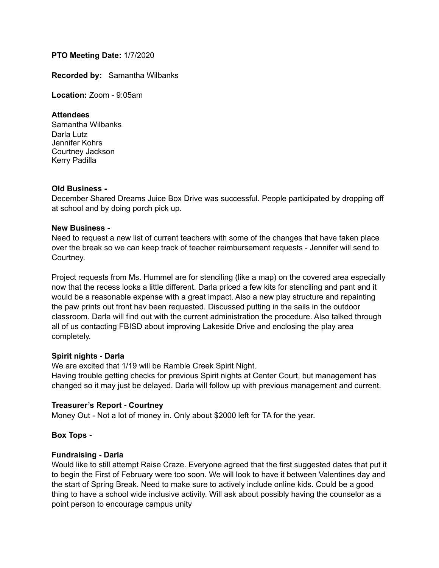# **PTO Meeting Date:** 1/7/2020

**Recorded by:** Samantha Wilbanks

**Location:** Zoom - 9:05am

# **Attendees**

Samantha Wilbanks Darla Lutz Jennifer Kohrs Courtney Jackson Kerry Padilla

#### **Old Business -**

December Shared Dreams Juice Box Drive was successful. People participated by dropping off at school and by doing porch pick up.

#### **New Business -**

Need to request a new list of current teachers with some of the changes that have taken place over the break so we can keep track of teacher reimbursement requests - Jennifer will send to Courtney.

Project requests from Ms. Hummel are for stenciling (like a map) on the covered area especially now that the recess looks a little different. Darla priced a few kits for stenciling and pant and it would be a reasonable expense with a great impact. Also a new play structure and repainting the paw prints out front hav been requested. Discussed putting in the sails in the outdoor classroom. Darla will find out with the current administration the procedure. Also talked through all of us contacting FBISD about improving Lakeside Drive and enclosing the play area completely.

# **Spirit nights** - **Darla**

We are excited that 1/19 will be Ramble Creek Spirit Night. Having trouble getting checks for previous Spirit nights at Center Court, but management has changed so it may just be delayed. Darla will follow up with previous management and current.

# **Treasurer's Report - Courtney**

Money Out - Not a lot of money in. Only about \$2000 left for TA for the year.

# **Box Tops -**

#### **Fundraising - Darla**

Would like to still attempt Raise Craze. Everyone agreed that the first suggested dates that put it to begin the First of February were too soon. We will look to have it between Valentines day and the start of Spring Break. Need to make sure to actively include online kids. Could be a good thing to have a school wide inclusive activity. Will ask about possibly having the counselor as a point person to encourage campus unity